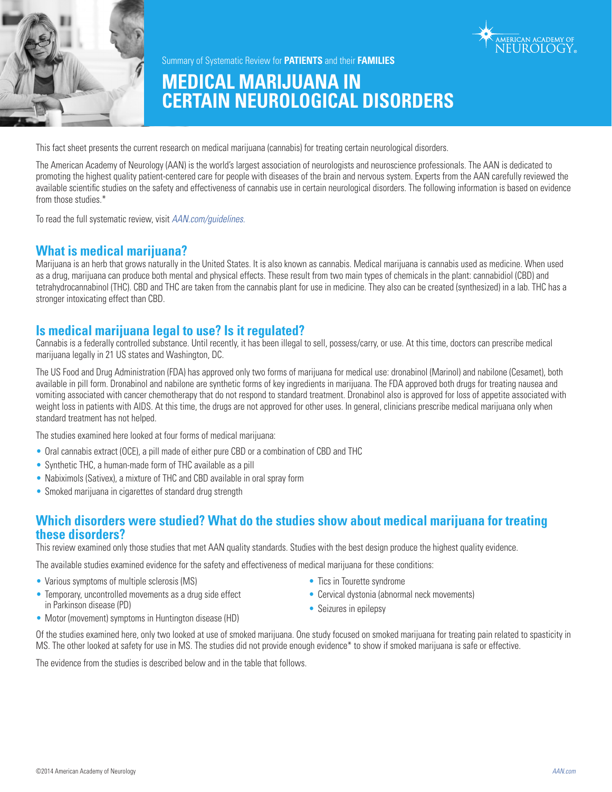



Summary of Systematic Review for **PATIENTS** and their **FAMILIES**

# **MEDICAL MARIJUANA IN CERTAIN NEUROLOGICAL DISORDERS**

This fact sheet presents the current research on medical marijuana (cannabis) for treating certain neurological disorders.

The American Academy of Neurology (AAN) is the world's largest association of neurologists and neuroscience professionals. The AAN is dedicated to promoting the highest quality patient-centered care for people with diseases of the brain and nervous system. Experts from the AAN carefully reviewed the available scientific studies on the safety and effectiveness of cannabis use in certain neurological disorders. The following information is based on evidence from those studies.\*

To read the full systematic review, visit *AAN.com/guidelines.*

## **What is medical marijuana?**

Marijuana is an herb that grows naturally in the United States. It is also known as cannabis. Medical marijuana is cannabis used as medicine. When used as a drug, marijuana can produce both mental and physical effects. These result from two main types of chemicals in the plant: cannabidiol (CBD) and tetrahydrocannabinol (THC). CBD and THC are taken from the cannabis plant for use in medicine. They also can be created (synthesized) in a lab. THC has a stronger intoxicating effect than CBD.

## **Is medical marijuana legal to use? Is it regulated?**

Cannabis is a federally controlled substance. Until recently, it has been illegal to sell, possess/carry, or use. At this time, doctors can prescribe medical marijuana legally in 21 US states and Washington, DC.

The US Food and Drug Administration (FDA) has approved only two forms of marijuana for medical use: dronabinol (Marinol) and nabilone (Cesamet), both available in pill form. Dronabinol and nabilone are synthetic forms of key ingredients in marijuana. The FDA approved both drugs for treating nausea and vomiting associated with cancer chemotherapy that do not respond to standard treatment. Dronabinol also is approved for loss of appetite associated with weight loss in patients with AIDS. At this time, the drugs are not approved for other uses. In general, clinicians prescribe medical marijuana only when standard treatment has not helped.

The studies examined here looked at four forms of medical marijuana:

- Oral cannabis extract (OCE), a pill made of either pure CBD or a combination of CBD and THC
- Synthetic THC, a human-made form of THC available as a pill
- Nabiximols (Sativex), a mixture of THC and CBD available in oral spray form
- Smoked marijuana in cigarettes of standard drug strength

## **Which disorders were studied? What do the studies show about medical marijuana for treating these disorders?**

This review examined only those studies that met AAN quality standards. Studies with the best design produce the highest quality evidence.

The available studies examined evidence for the safety and effectiveness of medical marijuana for these conditions:

- Various symptoms of multiple sclerosis (MS)
- Temporary, uncontrolled movements as a drug side effect in Parkinson disease (PD)
- Tics in Tourette syndrome
- Cervical dystonia (abnormal neck movements)
- Seizures in epilepsy
- Motor (movement) symptoms in Huntington disease (HD)

Of the studies examined here, only two looked at use of smoked marijuana. One study focused on smoked marijuana for treating pain related to spasticity in MS. The other looked at safety for use in MS. The studies did not provide enough evidence\* to show if smoked marijuana is safe or effective.

The evidence from the studies is described below and in the table that follows.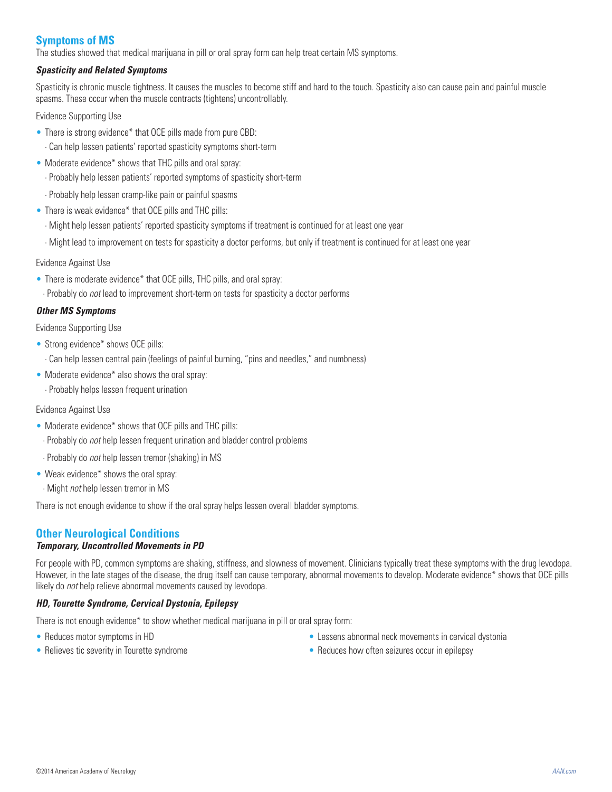## **Symptoms of MS**

The studies showed that medical marijuana in pill or oral spray form can help treat certain MS symptoms.

#### *Spasticity and Related Symptoms*

Spasticity is chronic muscle tightness. It causes the muscles to become stiff and hard to the touch. Spasticity also can cause pain and painful muscle spasms. These occur when the muscle contracts (tightens) uncontrollably.

Evidence Supporting Use

- There is strong evidence\* that OCE pills made from pure CBD: · Can help lessen patients' reported spasticity symptoms short-term
- Moderate evidence\* shows that THC pills and oral spray: · Probably help lessen patients' reported symptoms of spasticity short-term
- · Probably help lessen cramp-like pain or painful spasms
- There is weak evidence\* that OCE pills and THC pills:
	- · Might help lessen patients' reported spasticity symptoms if treatment is continued for at least one year
	- · Might lead to improvement on tests for spasticity a doctor performs, but only if treatment is continued for at least one year

Evidence Against Use

- There is moderate evidence\* that OCE pills, THC pills, and oral spray:
- · Probably do *not* lead to improvement short-term on tests for spasticity a doctor performs

#### *Other MS Symptoms*

Evidence Supporting Use

- Strong evidence\* shows OCE pills:
- · Can help lessen central pain (feelings of painful burning, "pins and needles," and numbness)
- Moderate evidence\* also shows the oral spray:
	- · Probably helps lessen frequent urination

#### Evidence Against Use

- Moderate evidence\* shows that OCE pills and THC pills:
- · Probably do *not* help lessen frequent urination and bladder control problems
- · Probably do *not* help lessen tremor (shaking) in MS
- Weak evidence\* shows the oral spray:
- · Might *not* help lessen tremor in MS

There is not enough evidence to show if the oral spray helps lessen overall bladder symptoms.

## **Other Neurological Conditions**

#### *Temporary, Uncontrolled Movements in PD*

For people with PD, common symptoms are shaking, stiffness, and slowness of movement. Clinicians typically treat these symptoms with the drug levodopa. However, in the late stages of the disease, the drug itself can cause temporary, abnormal movements to develop. Moderate evidence\* shows that OCE pills likely do *not* help relieve abnormal movements caused by levodopa.

#### *HD, Tourette Syndrome, Cervical Dystonia, Epilepsy*

There is not enough evidence\* to show whether medical marijuana in pill or oral spray form:

- Reduces motor symptoms in HD
- Relieves tic severity in Tourette syndrome
- Lessens abnormal neck movements in cervical dystonia
- Reduces how often seizures occur in epilepsy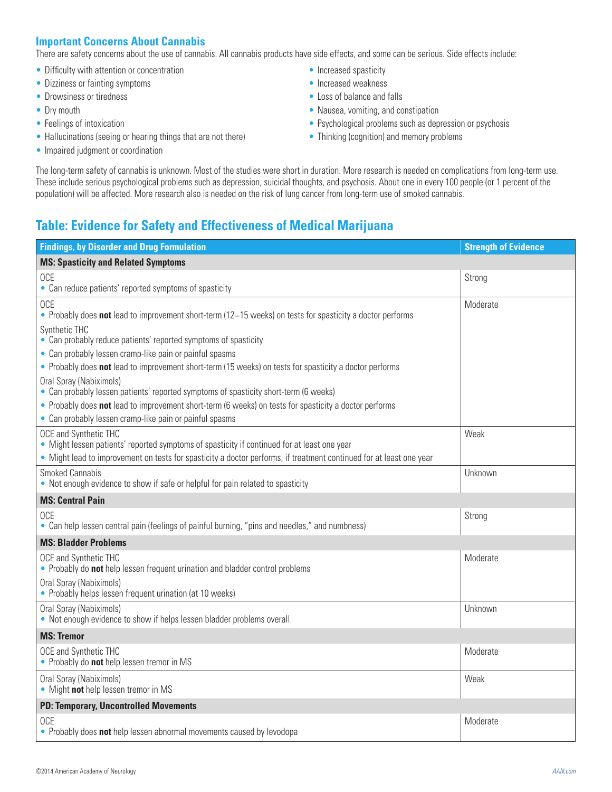## **Important Concerns About Cannabis**

There are safety concerns about the use of cannabis. All cannabis products have side effects, and some can be serious. Side effects include:

- Difficulty with attention or concentration
- Dizziness or fainting symptoms
- Drowsiness or tiredness
- Dry mouth
- Feelings of intoxication
- Hallucinations (seeing or hearing things that are not there)
- Impaired judgment or coordination
- Increased spasticity
- Increased weakness
- Loss of balance and falls
- Nausea, vomiting, and constipation
- Psychological problems such as depression or psychosis
- Thinking (cognition) and memory problems

The long-term safety of cannabis is unknown. Most of the studies were short in duration. More research is needed on complications from long-term use. These include serious psychological problems such as depression, suicidal thoughts, and psychosis. About one in every 100 people (or 1 percent of the population) will be affected. More research also is needed on the risk of lung cancer from long-term use of smoked cannabis.

## **Table: Evidence for Safety and Effectiveness of Medical Marijuana**

| <b>Findings, by Disorder and Drug Formulation</b>                                                                                                                  | <b>Strength of Evidence</b> |  |
|--------------------------------------------------------------------------------------------------------------------------------------------------------------------|-----------------------------|--|
| <b>MS: Spasticity and Related Symptoms</b>                                                                                                                         |                             |  |
| <b>OCE</b><br>• Can reduce patients' reported symptoms of spasticity                                                                                               | Strong                      |  |
| <b>OCE</b><br>• Probably does not lead to improvement short-term (12–15 weeks) on tests for spasticity a doctor performs<br>Synthetic THC                          | Moderate                    |  |
| • Can probably reduce patients' reported symptoms of spasticity                                                                                                    |                             |  |
| • Can probably lessen cramp-like pain or painful spasms<br>• Probably does not lead to improvement short-term (15 weeks) on tests for spasticity a doctor performs |                             |  |
| Oral Spray (Nabiximols)<br>• Can probably lessen patients' reported symptoms of spasticity short-term (6 weeks)                                                    |                             |  |
| • Probably does not lead to improvement short-term (6 weeks) on tests for spasticity a doctor performs<br>• Can probably lessen cramp-like pain or painful spasms  |                             |  |
| OCE and Synthetic THC<br>• Might lessen patients' reported symptoms of spasticity if continued for at least one year                                               | Weak                        |  |
| • Might lead to improvement on tests for spasticity a doctor performs, if treatment continued for at least one year                                                |                             |  |
| Smoked Cannabis<br>• Not enough evidence to show if safe or helpful for pain related to spasticity                                                                 | Unknown                     |  |
| <b>MS: Central Pain</b>                                                                                                                                            |                             |  |
| <b>OCE</b><br>• Can help lessen central pain (feelings of painful burning, "pins and needles," and numbness)                                                       | Strong                      |  |
| <b>MS: Bladder Problems</b>                                                                                                                                        |                             |  |
| OCE and Synthetic THC<br>• Probably do not help lessen frequent urination and bladder control problems                                                             | Moderate                    |  |
| Oral Spray (Nabiximols)<br>• Probably helps lessen frequent urination (at 10 weeks)                                                                                |                             |  |
| Oral Spray (Nabiximols)<br>• Not enough evidence to show if helps lessen bladder problems overall                                                                  | Unknown                     |  |
| <b>MS: Tremor</b>                                                                                                                                                  |                             |  |
| OCE and Synthetic THC<br>• Probably do not help lessen tremor in MS                                                                                                | Moderate                    |  |
| Oral Spray (Nabiximols)<br>• Might not help lessen tremor in MS                                                                                                    | Weak                        |  |
| <b>PD: Temporary, Uncontrolled Movements</b>                                                                                                                       |                             |  |
| <b>OCE</b><br>• Probably does not help lessen abnormal movements caused by levodopa                                                                                | Moderate                    |  |